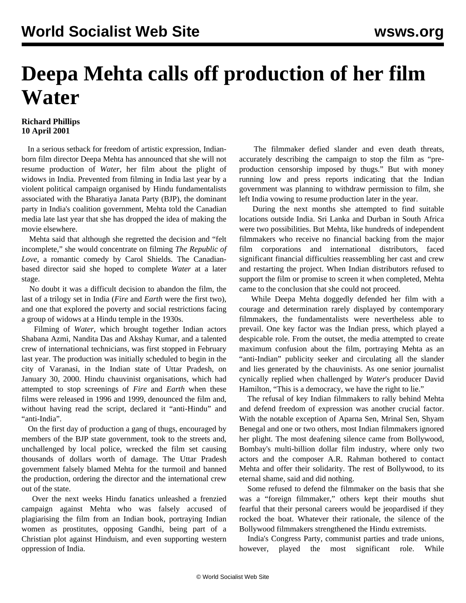## **Deepa Mehta calls off production of her film Water**

## **Richard Phillips 10 April 2001**

 In a serious setback for freedom of artistic expression, Indianborn film director Deepa Mehta has announced that she will not resume production of *Water*, her film about the plight of widows in India. Prevented from filming in India last year by a violent political campaign organised by Hindu fundamentalists associated with the Bharatiya Janata Party (BJP), the dominant party in India's coalition government, Mehta told the Canadian media late last year that she has dropped the idea of making the movie elsewhere.

 Mehta said that although she regretted the decision and "felt incomplete," she would concentrate on filming *The Republic of Love*, a romantic comedy by Carol Shields. The Canadianbased director said she hoped to complete *Water* at a later stage.

 No doubt it was a difficult decision to abandon the film, the last of a trilogy set in India (*Fire* and *Earth* were the first two), and one that explored the poverty and social restrictions facing a group of widows at a Hindu temple in the 1930s.

 Filming of *Water,* which brought together Indian actors Shabana Azmi, Nandita Das and Akshay Kumar, and a talented crew of international technicians, was first stopped in February last year. The production was initially scheduled to begin in the city of Varanasi, in the Indian state of Uttar Pradesh, on January 30, 2000. Hindu chauvinist organisations, which had attempted to stop screenings of *Fire* and *Earth* when these films were released in 1996 and 1999, denounced the film and, without having read the script, declared it "anti-Hindu" and "anti-India".

 On the first day of production a gang of thugs, encouraged by members of the BJP state government, took to the streets and, unchallenged by local police, wrecked the film set causing thousands of dollars worth of damage. The Uttar Pradesh government falsely blamed Mehta for the turmoil and banned the production, ordering the director and the international crew out of the state.

 Over the next weeks Hindu fanatics unleashed a frenzied campaign against Mehta who was falsely accused of plagiarising the film from an Indian book, portraying Indian women as prostitutes, opposing Gandhi, being part of a Christian plot against Hinduism, and even supporting western oppression of India.

 The filmmaker defied slander and even death threats, accurately describing the campaign to stop the film as "preproduction censorship imposed by thugs." But with money running low and press reports indicating that the Indian government was planning to withdraw permission to film, she left India vowing to resume production later in the year.

 During the next months she attempted to find suitable locations outside India. Sri Lanka and Durban in South Africa were two possibilities. But Mehta, like hundreds of independent filmmakers who receive no financial backing from the major film corporations and international distributors, faced significant financial difficulties reassembling her cast and crew and restarting the project. When Indian distributors refused to support the film or promise to screen it when completed, Mehta came to the conclusion that she could not proceed.

 While Deepa Mehta doggedly defended her film with a courage and determination rarely displayed by contemporary filmmakers, the fundamentalists were nevertheless able to prevail. One key factor was the Indian press, which played a despicable role. From the outset, the media attempted to create maximum confusion about the film, portraying Mehta as an "anti-Indian" publicity seeker and circulating all the slander and lies generated by the chauvinists. As one senior journalist cynically replied when challenged by *Water*'s producer David Hamilton, "This is a democracy, we have the right to lie."

 The refusal of key Indian filmmakers to rally behind Mehta and defend freedom of expression was another crucial factor. With the notable exception of Aparna Sen, Mrinal Sen, Shyam Benegal and one or two others, most Indian filmmakers ignored her plight. The most deafening silence came from Bollywood, Bombay's multi-billion dollar film industry, where only two actors and the composer A.R. Rahman bothered to contact Mehta and offer their solidarity. The rest of Bollywood, to its eternal shame, said and did nothing.

 Some refused to defend the filmmaker on the basis that she was a "foreign filmmaker," others kept their mouths shut fearful that their personal careers would be jeopardised if they rocked the boat. Whatever their rationale, the silence of the Bollywood filmmakers strengthened the Hindu extremists.

 India's Congress Party, communist parties and trade unions, however, played the most significant role. While